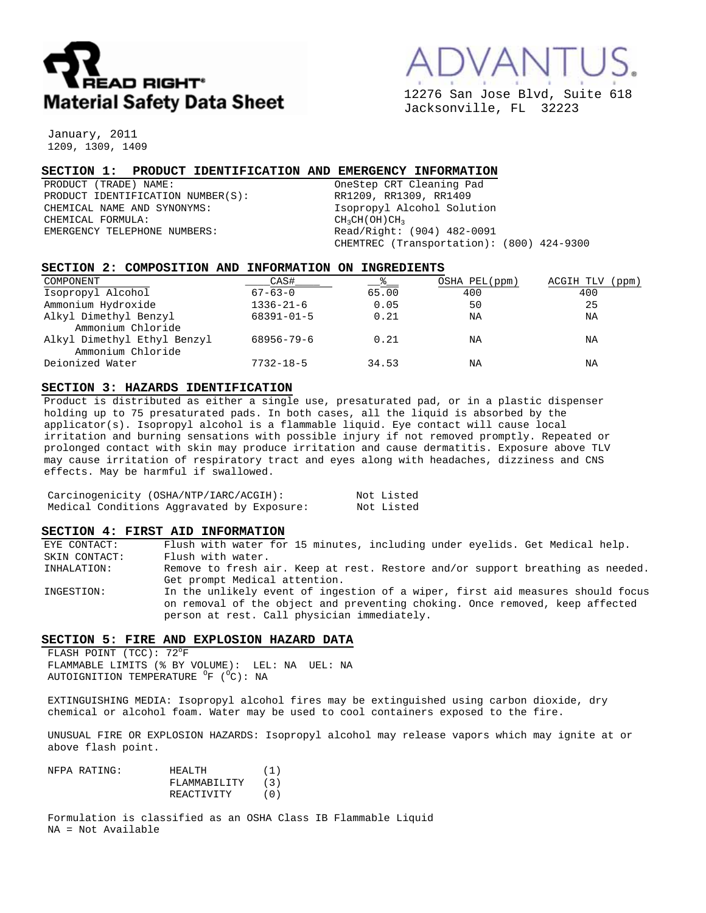

12276 San Jose Blvd, Suite 618 Jacksonville, FL 32223

January, 2011 1209, 1309, 1409

## **SECTION 1: PRODUCT IDENTIFICATION AND EMERGENCY INFORMATION**

PRODUCT (TRADE) NAME: OneStep CRT Cleaning Pad PRODUCT IDENTIFICATION NUMBER(S): RR1209, RR1309, RR1409<br>CHEMICAL NAME AND SYNONYMS: Service of the subset of the solution of the solution of the solution of the synony of the service of the solution of the synony of the s CHEMICAL FORMULA:  $CH<sub>3</sub>CH<sub>3</sub>CH(OH)CH<sub>3</sub>$ <br>EMERGENCY TELEPHONE NUMBERS:  $Red/Right:$ 

Isopropyl Alcohol Solution Read/Right: (904) 482-0091 CHEMTREC (Transportation): (800) 424-9300

## **SECTION 2: COMPOSITION AND INFORMATION ON INGREDIENTS**

| COMPONENT                   | CAS#             | <u>_&amp;_</u> | OSHA PEL(ppm) | ACGIH TLV<br>(ppm) |
|-----------------------------|------------------|----------------|---------------|--------------------|
| Isopropyl Alcohol           | $67 - 63 - 0$    | 65.00          | 400           | 400                |
| Ammonium Hydroxide          | $1336 - 21 - 6$  | 0.05           | 50            | 25                 |
| Alkyl Dimethyl Benzyl       | $68391 - 01 - 5$ | 0.21           | ΝA            | ΝA                 |
| Ammonium Chloride           |                  |                |               |                    |
| Alkyl Dimethyl Ethyl Benzyl | 68956-79-6       | 0.21           | ΝA            | ΝA                 |
| Ammonium Chloride           |                  |                |               |                    |
| Deionized Water             | $7732 - 18 - 5$  | 34.53          | ΝA            | ΝA                 |

## **SECTION 3: HAZARDS IDENTIFICATION**

Product is distributed as either a single use, presaturated pad, or in a plastic dispenser holding up to 75 presaturated pads. In both cases, all the liquid is absorbed by the applicator(s). Isopropyl alcohol is a flammable liquid. Eye contact will cause local irritation and burning sensations with possible injury if not removed promptly. Repeated or prolonged contact with skin may produce irritation and cause dermatitis. Exposure above TLV may cause irritation of respiratory tract and eyes along with headaches, dizziness and CNS effects. May be harmful if swallowed.

|  | Carcinogenicity (OSHA/NTP/IARC/ACGIH):     |  |  | Not Listed |
|--|--------------------------------------------|--|--|------------|
|  | Medical Conditions Aggravated by Exposure: |  |  | Not Listed |

#### **SECTION 4: FIRST AID INFORMATION**

EYE CONTACT: Flush with water for 15 minutes, including under eyelids. Get Medical help. SKIN CONTACT: Flush with water. INHALATION: Remove to fresh air. Keep at rest. Restore and/or support breathing as needed. Get prompt Medical attention. INGESTION: In the unlikely event of ingestion of a wiper, first aid measures should focus on removal of the object and preventing choking. Once removed, keep affected person at rest. Call physician immediately.

# **SECTION 5: FIRE AND EXPLOSION HAZARD DATA**

FLASH POINT  $(TCC): 72^{\circ}F$ FLAMMABLE LIMITS (% BY VOLUME): LEL: NA UEL: NA AUTOIGNITION TEMPERATURE <sup>O</sup>F (<sup>O</sup>C): NA

EXTINGUISHING MEDIA: Isopropyl alcohol fires may be extinguished using carbon dioxide, dry chemical or alcohol foam. Water may be used to cool containers exposed to the fire.

UNUSUAL FIRE OR EXPLOSION HAZARDS: Isopropyl alcohol may release vapors which may ignite at or above flash point.

| NFPA RATING: | HEALTH       | (1) |
|--------------|--------------|-----|
|              | FLAMMABILITY | (3) |
|              | REACTIVITY   | (0) |

Formulation is classified as an OSHA Class IB Flammable Liquid NA = Not Available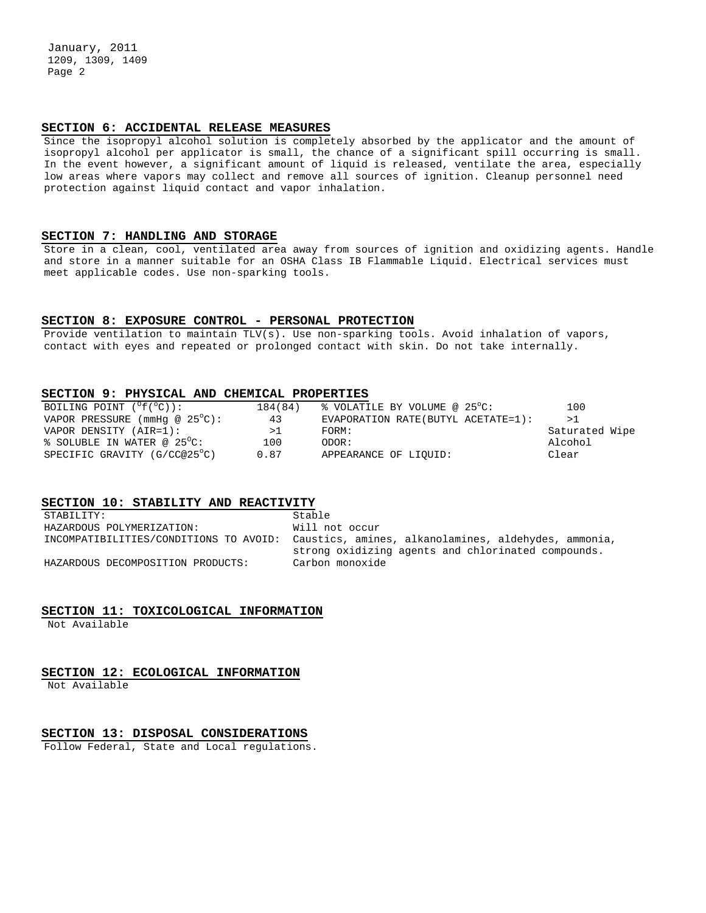January, 2011 1209, 1309, 1409 Page 2

### **SECTION 6: ACCIDENTAL RELEASE MEASURES**

Since the isopropyl alcohol solution is completely absorbed by the applicator and the amount of isopropyl alcohol per applicator is small, the chance of a significant spill occurring is small. In the event however, a significant amount of liquid is released, ventilate the area, especially low areas where vapors may collect and remove all sources of ignition. Cleanup personnel need protection against liquid contact and vapor inhalation.

## **SECTION 7: HANDLING AND STORAGE**

Store in a clean, cool, ventilated area away from sources of ignition and oxidizing agents. Handle and store in a manner suitable for an OSHA Class IB Flammable Liquid. Electrical services must meet applicable codes. Use non-sparking tools.

## **SECTION 8: EXPOSURE CONTROL - PERSONAL PROTECTION**

Provide ventilation to maintain TLV(s). Use non-sparking tools. Avoid inhalation of vapors, contact with eyes and repeated or prolonged contact with skin. Do not take internally.

## **SECTION 9: PHYSICAL AND CHEMICAL PROPERTIES**

| BOILING POINT $(^{\circ}f(^{\circ}C))$ : | 184(84) | % VOLATILE BY VOLUME @ 25°C:        | 100            |
|------------------------------------------|---------|-------------------------------------|----------------|
| VAPOR PRESSURE (mmHq @ $25^{\circ}$ C):  | 43      | EVAPORATION RATE (BUTYL ACETATE=1): | >1             |
| VAPOR DENSITY (AIR=1):                   | >1      | FORM:                               | Saturated Wipe |
| $\text{\$}$ SOLUBLE IN WATER @ 25 °C:    | 100     | ODOR:                               | Alcohol        |
| SPECIFIC GRAVITY (G/CC@25°C)             | 0.87    | APPEARANCE OF LIOUID:               | Clear          |

## **SECTION 10: STABILITY AND REACTIVITY**

| STABILITY:                             | Stable                                               |
|----------------------------------------|------------------------------------------------------|
| HAZARDOUS POLYMERIZATION:              | Will not occur                                       |
| INCOMPATIBILITIES/CONDITIONS TO AVOID: | Caustics, amines, alkanolamines, aldehydes, ammonia, |
|                                        | strong oxidizing agents and chlorinated compounds.   |
| HAZARDOUS DECOMPOSITION PRODUCTS:      | Carbon monoxide                                      |

#### **SECTION 11: TOXICOLOGICAL INFORMATION**

Not Available

## **SECTION 12: ECOLOGICAL INFORMATION**

Not Available

### **SECTION 13: DISPOSAL CONSIDERATIONS**

Follow Federal, State and Local regulations.